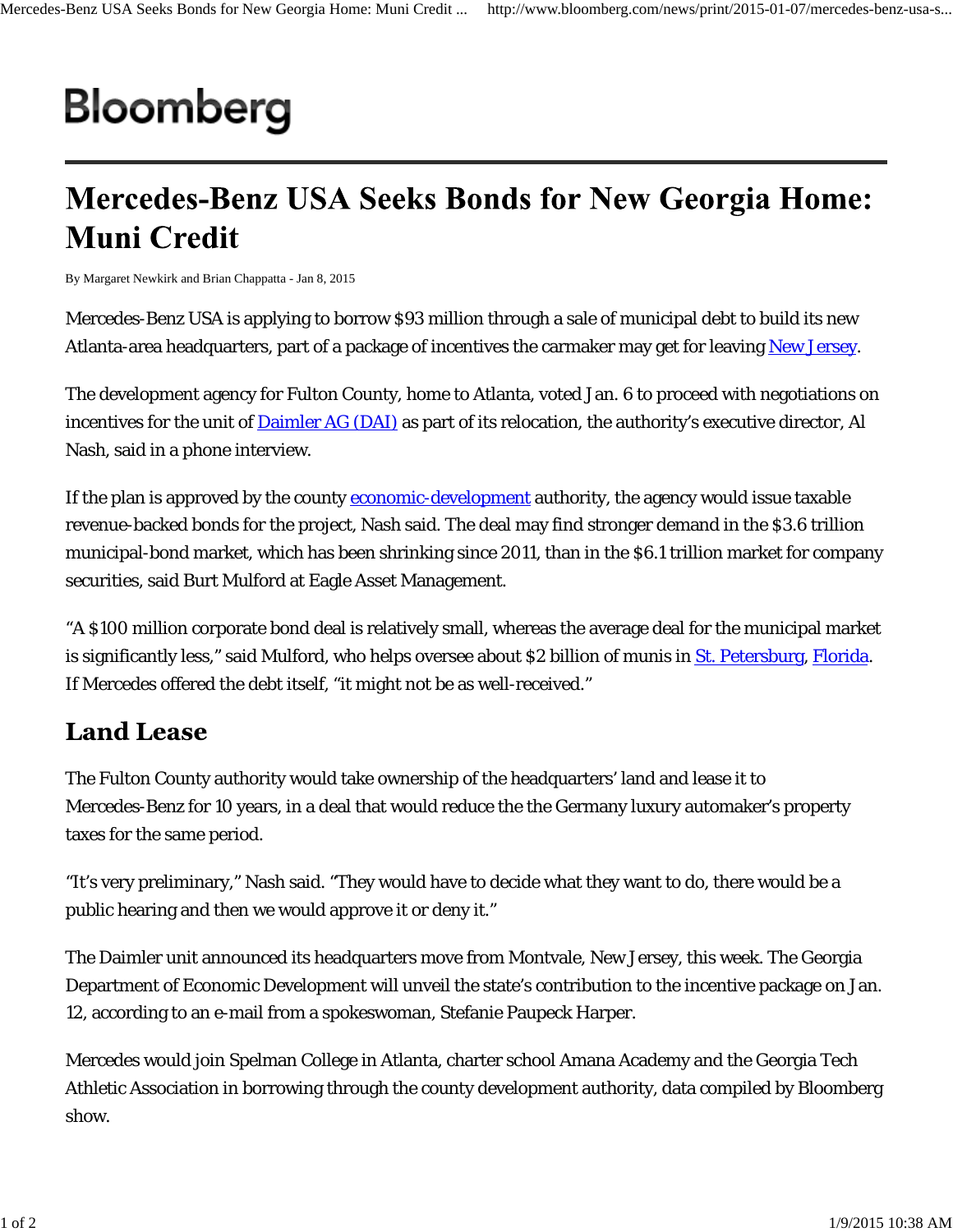## Bloomberg

## **Mercedes-Benz USA Seeks Bonds for New Georgia Home: Muni Credit**

By Margaret Newkirk and Brian Chappatta - Jan 8, 2015

Mercedes-Benz USA is applying to borrow \$93 million through a sale of municipal debt to build its new Atlanta-area headquarters, part of a package of incentives the carmaker may get for leaving New Jersey.

The development agency for Fulton County, home to Atlanta, voted Jan. 6 to proceed with negotiations on incentives for the unit of **Daimler AG** (DAI) as part of its relocation, the authority's executive director, Al Nash, said in a phone interview.

If the plan is approved by the county **economic-development** authority, the agency would issue taxable revenue-backed bonds for the project, Nash said. The deal may find stronger demand in the \$3.6 trillion municipal-bond market, which has been shrinking since 2011, than in the \$6.1 trillion market for company securities, said Burt Mulford at Eagle Asset Management.

"A \$100 million corporate bond deal is relatively small, whereas the average deal for the municipal market is significantly less," said Mulford, who helps oversee about \$2 billion of munis in St. Petersburg, Florida. If Mercedes offered the debt itself, "it might not be as well-received."

## **Land Lease**

The Fulton County authority would take ownership of the headquarters' land and lease it to Mercedes-Benz for 10 years, in a deal that would reduce the the Germany luxury automaker's property taxes for the same period.

"It's very preliminary," Nash said. "They would have to decide what they want to do, there would be a public hearing and then we would approve it or deny it."

The Daimler unit announced its headquarters move from Montvale, New Jersey, this week. The Georgia Department of Economic Development will unveil the state's contribution to the incentive package on Jan. 12, according to an e-mail from a spokeswoman, Stefanie Paupeck Harper.

Mercedes would join Spelman College in Atlanta, charter school Amana Academy and the Georgia Tech Athletic Association in borrowing through the county development authority, data compiled by Bloomberg show.